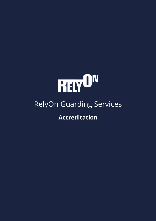

# RelyOn Guarding Services

**Accreditation**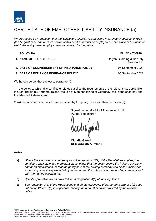

## CERTIFICATE OF EMPLOYERS' LIABILITY INSURANCE (a)

*Where required by regulation 5 of the Employers' Liability (Compulsory Insurance) Regulations 1998 (the Regulations), one or more copies of this certificate must be displayed at each place of business at which the policyholder employs persons covered by the policy.*

#### **POLICY No BM BDX 7009184**

**1. NAME OF POLICYHOLDER** Relyon Guarding & Security

**2. DATE OF COMMENCEMENT OF INSURANCE POLICY** 06 September 2021

**3. DATE OF EXPIRY OF INSURANCE POLICY** 05 September 2022

Services Ltd

We hereby certify that subject to paragraph 2:-

1. the policy to which this certificate relates satisfies the requirements of the relevant law applicable in Great Britain (b) Northern Ireland, the Isle of Man, the Island of Guernsey, the Island of Jersey and the Island of Alderney; and

2. (a) the minimum amount of cover provided by this policy is no less than £5 million (c).

Signed on behalf of AXA Insurance UK Plc (Authorised Insurer)

**Claudio Gienal CEO AXA UK & Ireland**

#### *Notes*

- **(a)** *Where the employer is a company to which regulation 3(2) of the Regulations applies, the certificate shall state in a prominent place, either that the policy covers the holding company and all its subsidiaries, or that the policy covers the holding company and all its subsidiaries except any specifically excluded by name, or that the policy covers the holding company and only the named subsidiaries.*
- **(b)** *Specify applicable law as provided for in Regulation 4(6) of the Regulations.*
- **(c)** *See regulation 3(1) of the Regulations and delete whichever of paragraphs 2(a) or 2(b) does not apply. Where 2(b) is applicable, specify the amount of cover provided by the relevant policy.*

**AXA Insurance UK plc Registered in England and Wales No 78950.**

Registered Office: 20 Gracechurch Street, London, EC3V 0BG. A member of the AXA Group of Companies. AXA Insurance UK plc is authorised by the Prudential Regulation Authority and regulated by the Financial Conduct Authority and the Prudential Regulation Authority. Telephone calls may be monitored and recorded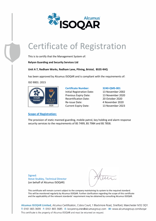

# Certificate of Registration

This is to certify that the Management System of:

**Relyon Guarding and Security Services Ltd**

**Unit A 7, Redham Works, Redham Lane, Pilning, Bristol, BS35 4HQ**

has been approved by Alcumus ISOQAR and is compliant with the requirements of:

ISO 9001: 2015



#### **Scope of Registration:**

**Certificate Number: 3240-QMS-001** Initial Registration Date: 13 November 2002 Previous Expiry Date: 13 November 2020 Recertification Date: 20 October 2020 Re-issue Date: 4 November 2020 Current Expiry Date: 13 November 2023

The provision of static manned guarding, mobile patrol, key holding and alarm response security services to the requirements of BS 7499, BS 7984 and BS 7858.

Signed: Steve Stubley, Technical Director (on behalf of Alcumus ISOQAR)

This certificate will remain current subject to the company maintaining its system to the required standard. This will be monitored regularly by Alcumus ISOQAR. Further clarification regarding the scope of this certificate and the applicability of the relevant standards' requirement may be obtained by consulting Alcumus ISOQAR.

Alcumus ISOQAR Limited, Alcumus Certification, Cobra Court, 1 Blackmore Road, Stretford, Manchester M32 0QY. T: 0161 865 3699 F: 0161 865 3685 E: isoqarenquiries@alcumusgroup.com W: www.alcumusgroup.com/isoqar This certificate is the property of Alcumus ISOQAR and must be returned on request.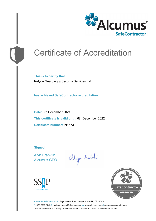

# Certificate of Accreditation

**This is to certify that** Relyon Guarding & Security Services Ltd

**has achieved SafeContractor accreditation**

**Date:** 6th December 2021 **This certificate is valid until:** 6th December 2022 **Certificate number:** IN1573

**Signed:**

Alyn Franklin Alcumus CEO

alyn Faith





**Alcumus SafeContractor,** Axys House, Parc Nantgarw, Cardiff, CF15 7QX T: 029 2026 6749 E: safecontractor@alcumus.com W: www.alcumus.com | www.safecontractor.com This certificate is the property of Alcumus SafeContractor and must be returned on request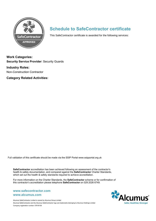

### **Schedule to SafeContractor certificate**

This SafeContractor certificate is awarded for the following services:

**Work Categories: Security Service Provider**: Security Guards

**Industry Roles:** Non-Construction Contractor

**Category Related Activities:**

Full validation of this certificate should be made via the SSIP Portal www.ssipportal.org.uk

**SafeContractor** accreditation has been achieved following an assessment of the contractor's health & safety documentation, and compared against the **SafeContractor** Charter Standards, which set out the health & safety standards required to achieve accreditation.

For more information on the Charter Standards, the **SafeContractor** scheme or for confirmation of this contractor's accreditation please telephone **SafeContractor** on 029 2026 6749.

### **www.alcumus.com www.safecontractor.com**

Alcumus SafeContractor Limited is owned by Alcumus Group Limited Alcumus SafeContractor and the Alcumus SafeContractor logo are trademarks belonging to Alcumus Holdings Limited Company registration number: 07618138